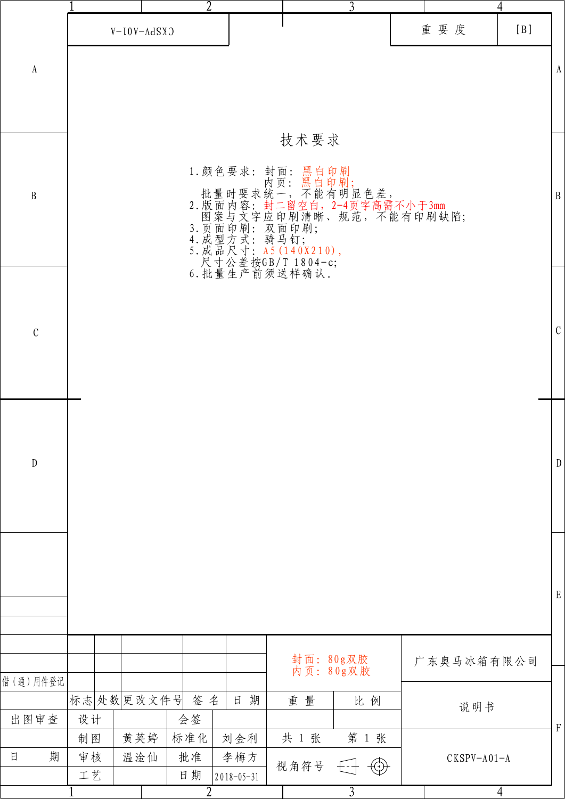|                       |                 | $\overline{2}$  |                         |                        | $\overline{3}$        |               | 4              |                           |
|-----------------------|-----------------|-----------------|-------------------------|------------------------|-----------------------|---------------|----------------|---------------------------|
|                       |                 | $C$ KSPV-A01-A  |                         |                        |                       | 重要度           | [B]            |                           |
| $\boldsymbol{\rm{A}}$ |                 |                 |                         |                        |                       |               |                | $\boldsymbol{\mathrm{A}}$ |
|                       |                 |                 |                         |                        |                       |               |                |                           |
|                       |                 |                 |                         | 技术要求                   |                       |               |                |                           |
|                       |                 |                 |                         |                        |                       |               |                |                           |
| $\, {\bf B}$          |                 |                 |                         |                        |                       |               |                | $\, {\bf B}$              |
|                       |                 |                 |                         |                        |                       |               |                |                           |
|                       |                 |                 |                         |                        |                       |               |                |                           |
|                       |                 |                 |                         |                        |                       |               |                |                           |
|                       |                 |                 |                         |                        |                       |               |                |                           |
| $\mathcal{C}$         |                 |                 |                         |                        |                       |               |                | $\mathbf C$               |
|                       |                 |                 |                         |                        |                       |               |                |                           |
|                       |                 |                 |                         |                        |                       |               |                |                           |
|                       |                 |                 |                         |                        |                       |               |                |                           |
| ${\rm D}$             |                 |                 |                         |                        |                       |               |                | $\mathbf{D}$              |
|                       |                 |                 |                         |                        |                       |               |                |                           |
|                       |                 |                 |                         |                        |                       |               |                |                           |
|                       |                 |                 |                         |                        |                       |               |                |                           |
|                       |                 |                 |                         |                        |                       |               |                | $\mathbf E$               |
|                       |                 |                 |                         |                        |                       |               |                |                           |
|                       |                 |                 |                         | 封面: 80g双胶<br>内页: 80g双胶 |                       | 广东奥马冰箱有限公司    |                |                           |
| 借(通)用件登记              |                 |                 |                         |                        |                       |               |                |                           |
| 出图审查                  | 标志处数更改文件号<br>设计 | 签名<br>会签        | 期<br>日                  | 重量                     | 比例                    | 说明书           |                | $\mathbf F$               |
|                       | 制图              | 黄英婷<br>标准化      | 刘金利                     | 共 1 张                  | 第 1 张                 |               |                |                           |
| 期<br>日                | 审核<br>工艺        | 温淦仙<br>批准<br>日期 | 李梅方<br>$2018 - 05 - 31$ | 视角符号                   | $\bigcirc$<br>$f - 1$ | $CKSPV-A01-A$ |                |                           |
|                       |                 | $\overline{2}$  |                         |                        | $\overline{3}$        |               | $\overline{4}$ |                           |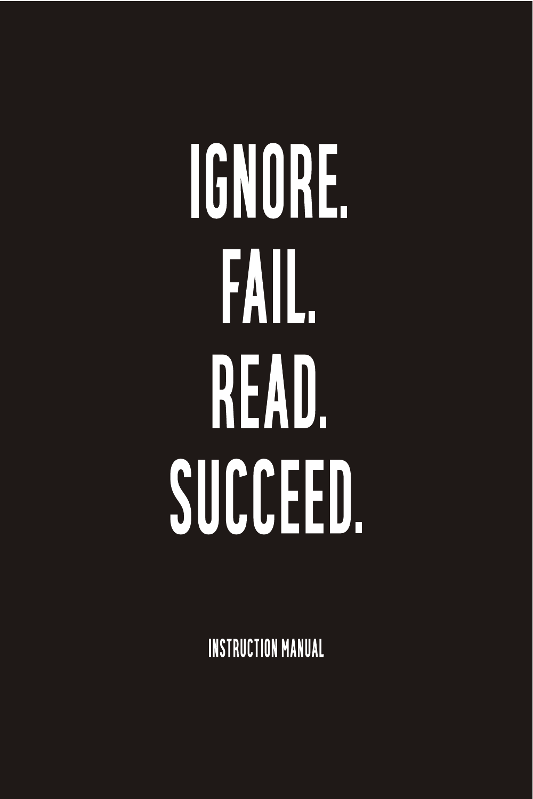# IGNORE. FAIL. READ. SUCCEED.

**INSTRUCTION MANUAL**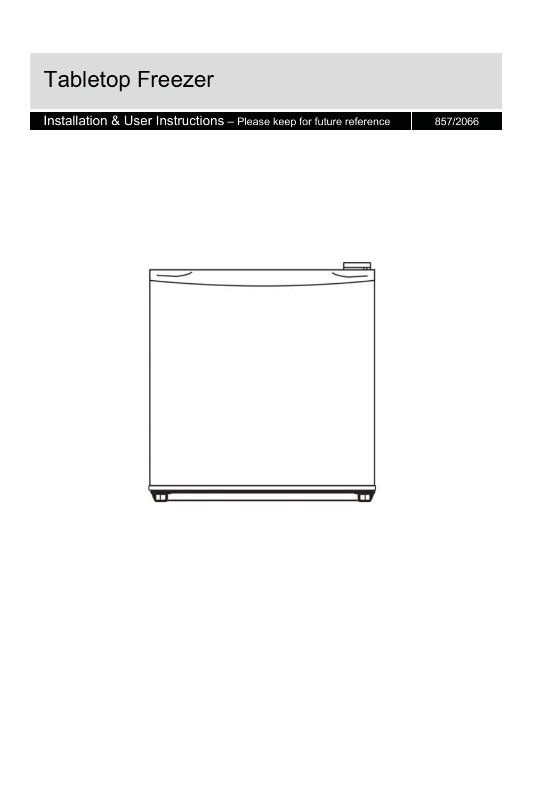### **Tabletop Freezer**

Installation & User Instructions – Please keep for future reference | 857/2066

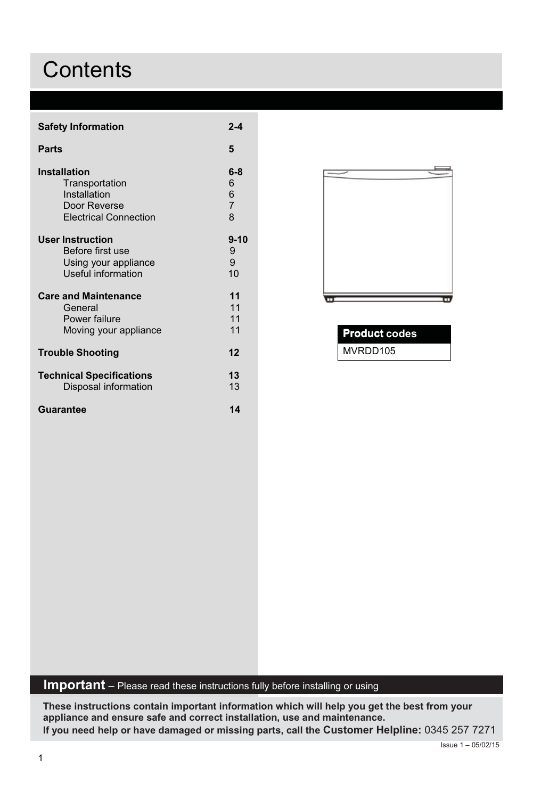### **Contents**

| <b>Safety Information</b>       | $2 - 4$        |
|---------------------------------|----------------|
| Parts                           | 5              |
| <b>Installation</b>             | $6 - 8$        |
| Transportation                  | 6              |
| Installation                    | 6              |
| Door Reverse                    | $\overline{7}$ |
| <b>Electrical Connection</b>    | 8              |
| User Instruction                | 9-10           |
| Before first use                | 9              |
| Using your appliance            | 9              |
| Useful information              | 10             |
| <b>Care and Maintenance</b>     | 11             |
| General                         | 11             |
| Power failure                   | 11             |
| Moving your appliance           | 11             |
| <b>Trouble Shooting</b>         | 12             |
| <b>Technical Specifications</b> | 13             |
| Disposal information            | 13             |
| Guarantee                       | 11             |



| <b>Product codes</b><br>L |  |
|---------------------------|--|
| MVRDD105                  |  |

### **Important** - Please read these instructions fully before installing or using

These instructions contain important information which will help you get the best from your appliance and ensure safe and correct installation, use and maintenance. If you need help or have damaged or missing parts, call the Customer Helpline: 0345 257 7271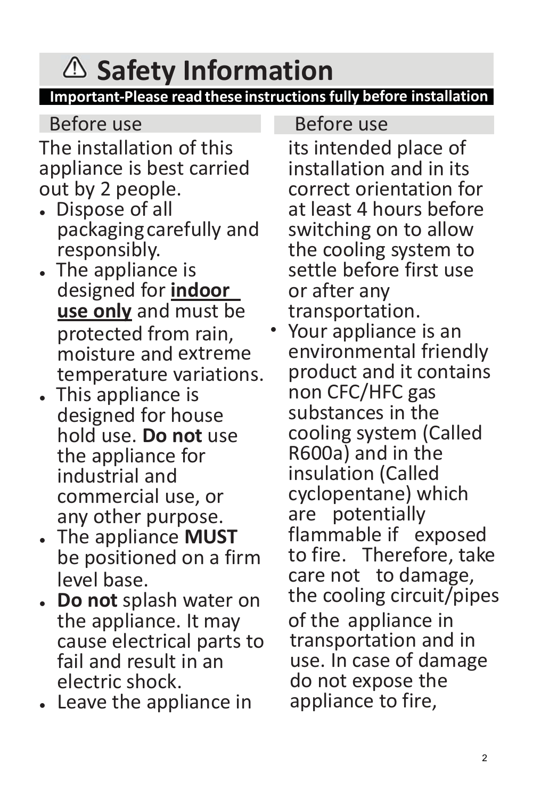# **Safety Information**

### **Important-Please read these instructions fully before installation**

 $\bullet$ 

Before use

The installation of this appliance is best carried out by 2 people.

- Dispose of all packagingcarefully and responsibly.
- The appliance is designed for **indoor use only** and must be protected from rain, moisture and temperature variations.
- This appliance is designed for house hold use. **Do not** use the appliance for industrial and commercial use, or any other purpose.
- $\bullet$ The appliance **MUST**<br>be positioned on a firm level base.
- the appliance. It may cause electrical parts to fail and result in an electric shock.
- $\bullet$ Leave the appliance in

### Before use

its intended place of installation and in its correct orientation for at least 4 hours before switching on to allow the cooling system to settle before first use or after any transportation.

**Do not** splash water on the cooling circuit/pipes<br>the appliance It may of the appliance in Your appliance is an environmental friendly product and it contains non CFC/HFC gas substances in the cooling system (Called R600a) and in the insulation (Called cyclopentane) which are potentially flammable if exposed to fire. Therefore, take care not to damage, of the appliance in transportation and in use. In case of damage do not expose the appliance to fire,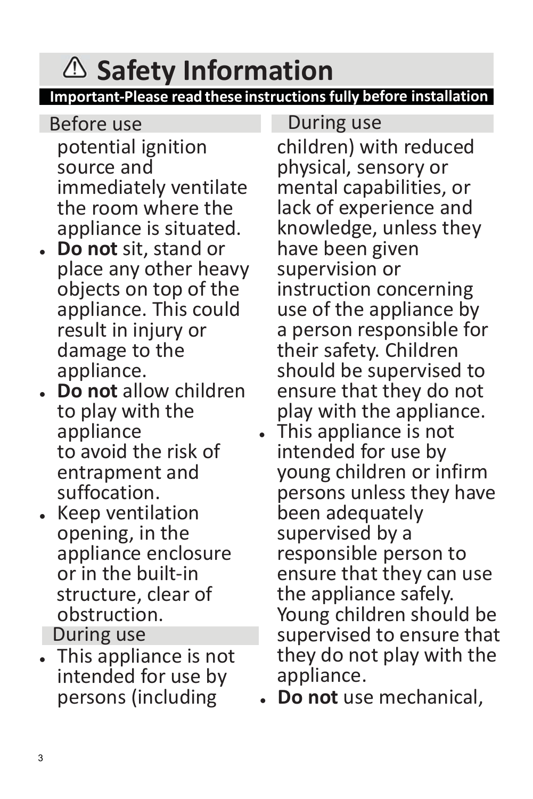# **Safety Information**

**Important-Please read these instructions fully before installation** 

- potential ignition source and immediately ventilate the room where the appliance is situated. Before use
- **Do not** sit, stand or place any other heavy objects on top of the appliance. This could result in injury or damage to the appliance.
- **Do not** allow children to play with the appliance to avoid the risk of entrapment and suffocation.
- Keep ventilation opening, in the appliance enclosure<br>or in the built-in structure, clear of obstruction. During use
- This appliance is not intended for use by persons (including

During use

children) with reduced physical, sensory or mental capabilities, or lack of experience and knowledge, unless they have been given supervision or instruction concerning use of the appliance by a person responsible for their safety. Children should be supervised to ensure that they do not play with the appliance. - This appliance is not intended for use by young children or infirm persons unless they have been adequately supervised by a responsible person to ensure that they can use the appliance safely. Young children should be supervised to ensure that they do not play with the appliance.

 $\bullet$ **Do not** use mechanical,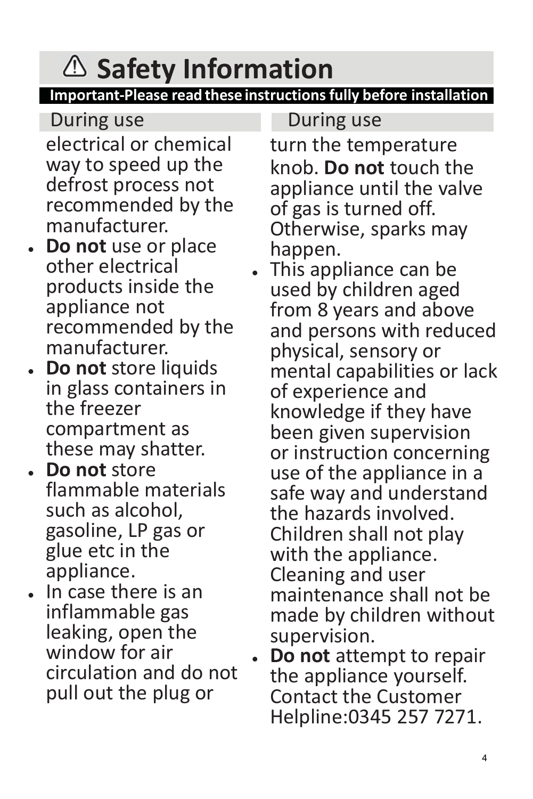## **Safety Information**

### **Important-Please read these instructions fully before installation**

 $\bullet$ 

 $\bullet$ 

electrical or chemical way to speed up the defrost process not recommended by the manufacturer.

- **Do not** use or place other electrical products inside the appliance not recommended by the manufacturer.
- **Do not** store liquids in glass containers in the freezer compartment as these may shatter.
- **Do not** store flammable materials such as alcohol, gasoline, LP gas or glue etc in the appliance.
- - In case there is an inflammable gas leaking, open the window for air circulation and do not pull out the plug or

### During use **During use** During use

turn the temperature knob. **Do not** touch the appliance until the valve of gas is turned off. Otherwise, sparks may happen.

 This appliance can be used by children aged from 8 years and above and persons with reduced physical, sensory or mental capabilities or lack of experience and knowledge if they have been given supervision or instruction concerning use of the appliance in a safe way and understand the hazards involved. Children shall not play with the appliance. Cleaning and user maintenance shall not be made by children without supervision. **Do not** attempt to repair

the appliance yourself. Contact the Customer Helpline:0345 257 7271.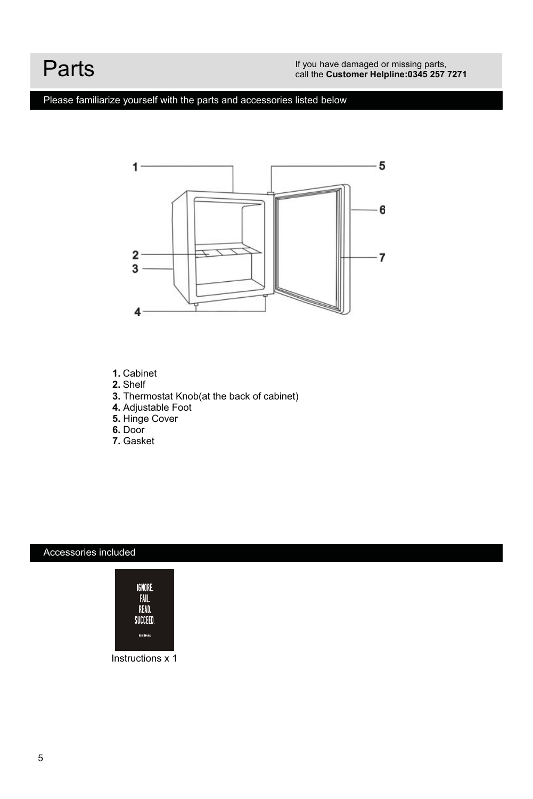### Parts

### Please familiarize yourself with the parts and accessories listed below



- 1. Cabinet
- 2. Shelf
- 3. Thermostat Knob(at the back of cabinet)
- 4. Adjustable Foot<br>5. Hinge Cover
- 
- 6. Door
- 7. Gasket

### Accessories included



Instructions x 1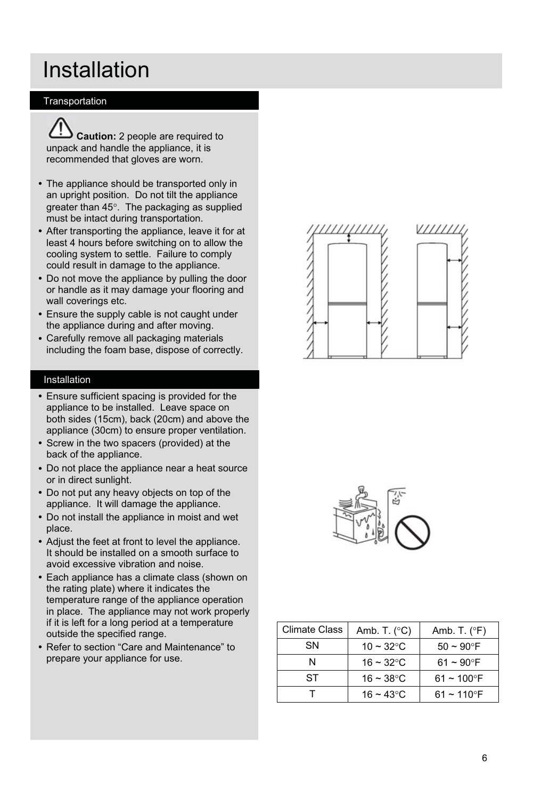### Installation

### Transportation



Caution: 2 people are required to unpack and handle the appliance, it is recommended that gloves are worn.

- The appliance should be transported only in an upright position. Do not tilt the appliance greater than 45°. The packaging as supplied must be intact during transportation.
- After transporting the appliance, leave it for at least 4 hours before switching on to allow the cooling system to settle. Failure to comply could result in damage to the appliance.
- Do not move the appliance by pulling the door or handle as it may damage your flooring and wall coverings etc.
- Ensure the supply cable is not caught under the appliance during and after moving.
- Carefully remove all packaging materials including the foam base, dispose of correctly.

#### Installation

- Ensure sufficient spacing is provided for the appliance to be installed. Leave space on both sides (15cm), back (20cm) and above the appliance (30cm) to ensure proper ventilation.
- Screw in the two spacers (provided) at the back of the appliance.
- Do not place the appliance near a heat source or in direct sunlight.
- Do not put any heavy objects on top of the appliance. It will damage the appliance.
- Do not install the appliance in moist and wet place.
- Adjust the feet at front to level the appliance. It should be installed on a smooth surface to avoid excessive vibration and noise.
- Each appliance has a climate class (shown on the rating plate) where it indicates the temperature range of the appliance operation in place. The appliance may not work properly if it is left for a long period at a temperature outside the specified range.
- Refer to section "Care and Maintenance" to prepare your appliance for use.





| <b>Climate Class</b> | Amb. T. $(^{\circ}C)$ | Amb. T. $(^{\circ}F)$     |
|----------------------|-----------------------|---------------------------|
| SΝ                   | 10 ~ 32 °C            | $50 - 90$ °F              |
|                      | $16 - 32$ °C          | $61 - 90^{\circ}$ F       |
| ST                   | $16 - 38$ °C          | $61 - 100$ °F             |
|                      | 16 ~ 43 °C            | $61 - 110$ <sup>o</sup> F |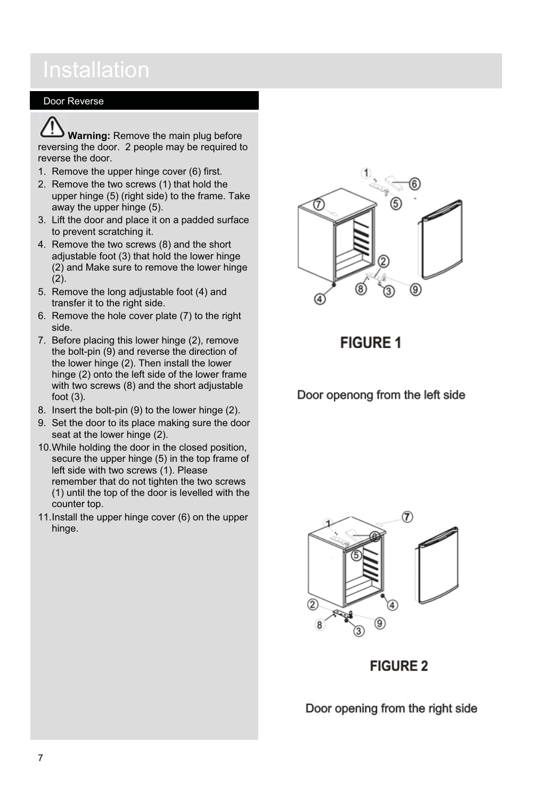### Door Reverse

Warning: Remove the main plug before reversing the door. 2 people may be required to reverse the door.

- 1. Remove the upper hinge cover (6) first.
- 2. Remove the two screws (1) that hold the upper hinge (5) (right side) to the frame. Take away the upper hinge (5).
- 3. Lift the door and place it on a padded surface to prevent scratching it.
- 4. Remove the two screws (8) and the short adjustable foot (3) that hold the lower hinge (2) and Make sure to remove the lower hinge  $(2).$
- 5. Remove the long adjustable foot (4) and transfer it to the right side.
- 6. Remove the hole cover plate (7) to the right side
- 7. Before placing this lower hinge (2), remove the bolt-pin (9) and reverse the direction of the lower hinge (2). Then install the lower hinge (2) onto the left side of the lower frame with two screws (8) and the short adjustable foot  $(3)$ .
- 8. Insert the bolt-pin (9) to the lower hinge (2).
- 9. Set the door to its place making sure the door seat at the lower hinge (2).
- 10. While holding the door in the closed position, secure the upper hinge (5) in the top frame of left side with two screws (1). Please remember that do not tighten the two screws (1) until the top of the door is levelled with the counter top.
- 11. Install the upper hinge cover (6) on the upper hinge.



**FIGURE 1** 

Door openong from the left side



**FIGURE 2** 

Door opening from the right side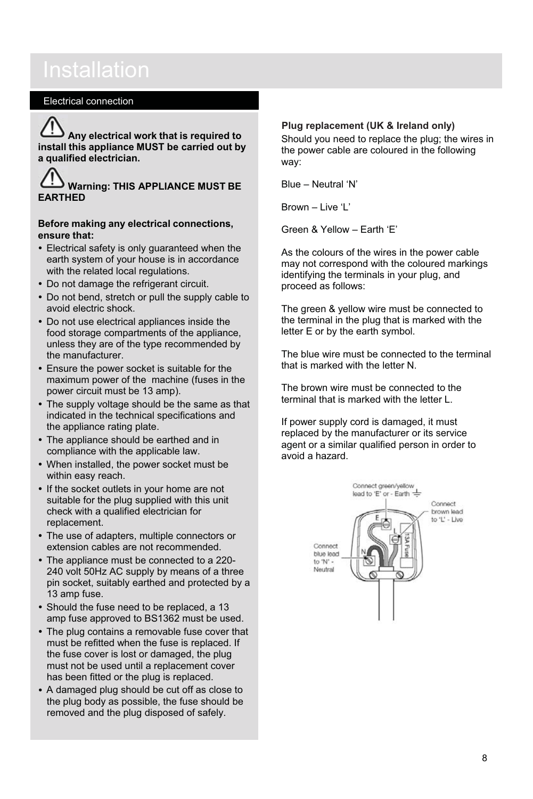### **Installation**

### **Electrical connection**

Any electrical work that is required to install this appliance MUST be carried out by a qualified electrician.

### **Warning: THIS APPLIANCE MUST BE FARTHED**

#### Before making any electrical connections. ensure that:

- Electrical safety is only quaranteed when the earth system of your house is in accordance with the related local regulations.
- Do not damage the refrigerant circuit.
- . Do not bend, stretch or pull the supply cable to avoid electric shock.
- Do not use electrical appliances inside the food storage compartments of the appliance. unless they are of the type recommended by the manufacturer.
- Ensure the power socket is suitable for the maximum power of the machine (fuses in the power circuit must be 13 amp).
- The supply voltage should be the same as that indicated in the technical specifications and the appliance rating plate.
- The appliance should be earthed and in compliance with the applicable law.
- When installed, the power socket must be within easy reach.
- If the socket outlets in your home are not suitable for the plug supplied with this unit check with a qualified electrician for replacement.
- The use of adapters, multiple connectors or extension cables are not recommended.
- The appliance must be connected to a 220-240 volt 50Hz AC supply by means of a three pin socket, suitably earthed and protected by a 13 amp fuse.
- Should the fuse need to be replaced, a 13 amp fuse approved to BS1362 must be used.
- The plug contains a removable fuse cover that must be refitted when the fuse is replaced. If the fuse cover is lost or damaged, the plug must not be used until a replacement cover has been fitted or the plug is replaced.
- A damaged plug should be cut off as close to the plug body as possible, the fuse should be removed and the plug disposed of safely.

#### Plug replacement (UK & Ireland only)

Should you need to replace the plug; the wires in the power cable are coloured in the following wav:

Blue - Neutral 'N'

Brown - Live 'I'

Green & Yellow - Farth 'F'

As the colours of the wires in the power cable may not correspond with the coloured markings identifying the terminals in your plug, and proceed as follows:

The green & vellow wire must be connected to the terminal in the plug that is marked with the letter E or by the earth symbol.

The blue wire must be connected to the terminal that is marked with the letter N

The brown wire must be connected to the terminal that is marked with the letter L.

If power supply cord is damaged, it must replaced by the manufacturer or its service agent or a similar qualified person in order to avoid a hazard.

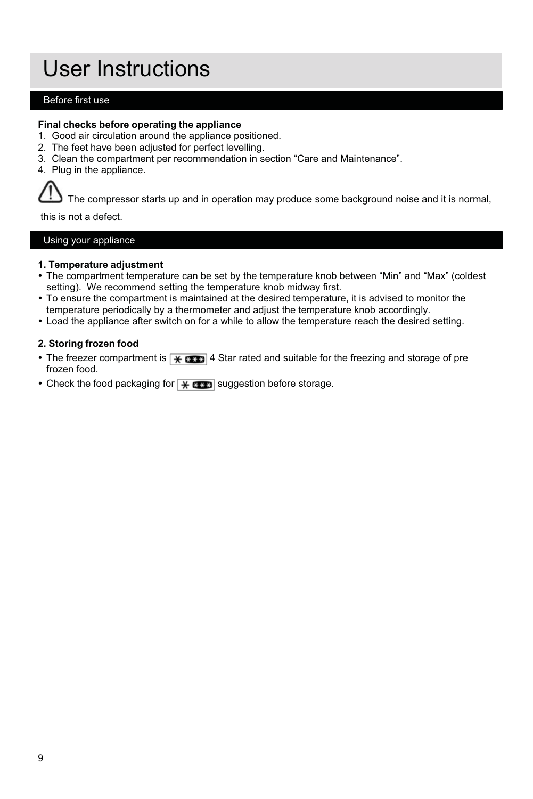### User Instructions

### Before first use

#### Final checks before operating the appliance

- 1. Good air circulation around the appliance positioned.
- 2. The feet have been adjusted for perfect levelling.
- 3. Clean the compartment per recommendation in section "Care and Maintenance".
- 4. Plug in the appliance.

The compressor starts up and in operation may produce some background noise and it is normal,

this is not a defect.

Using your appliance

#### 1. Temperature adiustment

- The compartment temperature can be set by the temperature knob between "Min" and "Max" (coldest setting). We recommend setting the temperature knob midway first.
- To ensure the compartment is maintained at the desired temperature, it is advised to monitor the temperature periodically by a thermometer and adjust the temperature knob accordingly.
- Load the appliance after switch on for a while to allow the temperature reach the desired setting.

#### 2. Storing frozen food

- The freezer compartment is  $\sqrt{|\mathcal{X}|}$  as Star rated and suitable for the freezing and storage of pre frozen food.
- Check the food packaging for  $\overline{H}$  and suggestion before storage.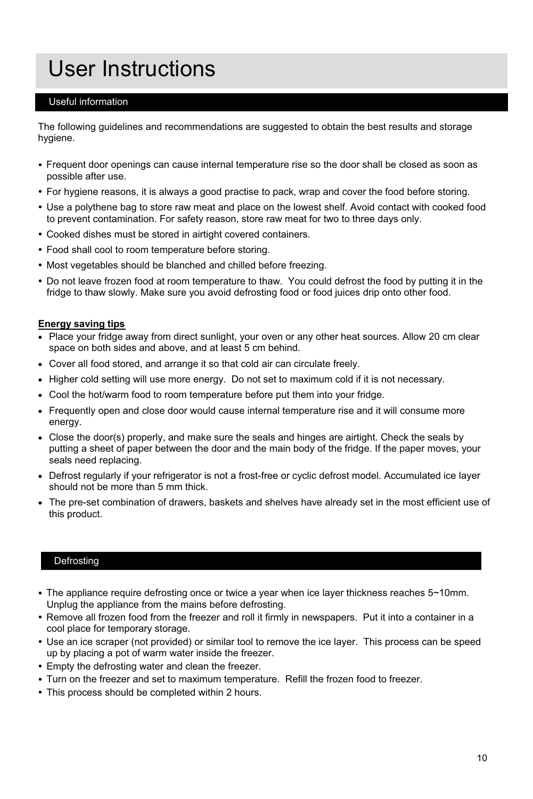### User Instructions

### Useful information

The following quidelines and recommendations are suggested to obtain the best results and storage hvaiene

- Frequent door openings can cause internal temperature rise so the door shall be closed as soon as possible after use.
- For hygiene reasons, it is always a good practise to pack, wrap and cover the food before storing.
- Use a polythene bag to store raw meat and place on the lowest shelf. Avoid contact with cooked food to prevent contamination. For safety reason, store raw meat for two to three days only.
- Cooked dishes must be stored in airtight covered containers.
- Food shall cool to room temperature before storing.
- Most vegetables should be blanched and chilled before freezing.
- . Do not leave frozen food at room temperature to thaw. You could defrost the food by putting it in the fridge to thaw slowly. Make sure you avoid defrosting food or food juices drip onto other food.

#### **Energy saving tips**

- . Place your fridge away from direct sunlight, your oven or any other heat sources. Allow 20 cm clear space on both sides and above, and at least 5 cm behind.
- Cover all food stored, and arrange it so that cold air can circulate freely.
- Higher cold setting will use more energy. Do not set to maximum cold if it is not necessary.
- Cool the hot/warm food to room temperature before put them into your fridge.
- Frequently open and close door would cause internal temperature rise and it will consume more energy.
- Close the door(s) properly, and make sure the seals and hinges are airtight. Check the seals by putting a sheet of paper between the door and the main body of the fridge. If the paper moves, your seals need replacing.
- Defrost regularly if your refrigerator is not a frost-free or cyclic defrost model. Accumulated ice layer should not be more than 5 mm thick.
- The pre-set combination of drawers, baskets and shelves have already set in the most efficient use of this product.

#### Defrosting

- The appliance require defrosting once or twice a year when ice layer thickness reaches 5~10mm. Unplug the appliance from the mains before defrosting.
- Remove all frozen food from the freezer and roll it firmly in newspapers. Put it into a container in a cool place for temporary storage.
- Use an ice scraper (not provided) or similar tool to remove the ice layer. This process can be speed up by placing a pot of warm water inside the freezer.
- Empty the defrosting water and clean the freezer.
- Turn on the freezer and set to maximum temperature. Refill the frozen food to freezer.
- This process should be completed within 2 hours.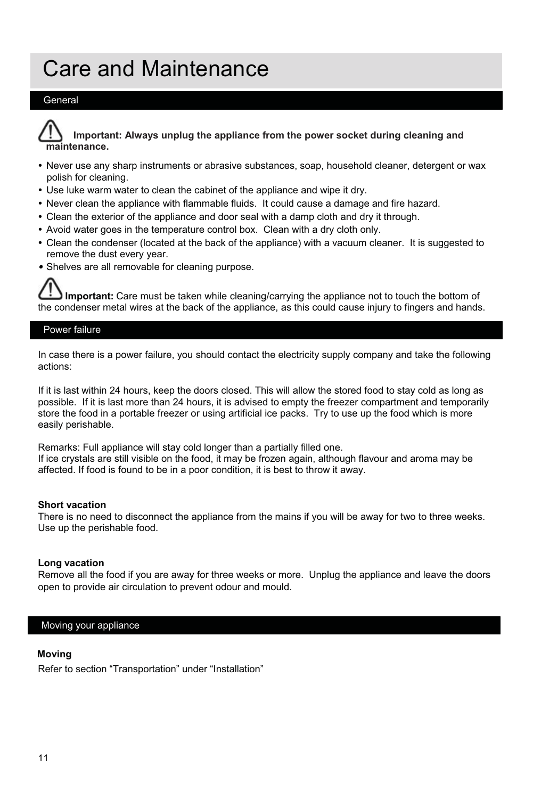### **Care and Maintenance**

### General



Important: Always unplug the appliance from the power socket during cleaning and maintenance

- . Never use any sharp instruments or abrasive substances, soap, household cleaner, detergent or wax polish for cleaning.
- . Use luke warm water to clean the cabinet of the appliance and wipe it dry.
- . Never clean the appliance with flammable fluids. It could cause a damage and fire hazard.
- Clean the exterior of the appliance and door seal with a damp cloth and dry it through.
- Avoid water goes in the temperature control box. Clean with a dry cloth only.
- Clean the condenser (located at the back of the appliance) with a vacuum cleaner. It is suggested to remove the dust every year.
- Shelves are all removable for cleaning purpose.

Important: Care must be taken while cleaning/carrying the appliance not to touch the bottom of the condenser metal wires at the back of the appliance, as this could cause injury to fingers and hands.

### Power failure

In case there is a power failure, you should contact the electricity supply company and take the following actions:

If it is last within 24 hours, keep the doors closed. This will allow the stored food to stay cold as long as possible. If it is last more than 24 hours, it is advised to empty the freezer compartment and temporarily store the food in a portable freezer or using artificial ice packs. Try to use up the food which is more easily perishable.

Remarks: Full appliance will stay cold longer than a partially filled one. If ice crystals are still visible on the food, it may be frozen again, although flayour and aroma may be affected. If food is found to be in a poor condition, it is best to throw it away.

#### Short vacation

There is no need to disconnect the appliance from the mains if you will be away for two to three weeks. Use up the perishable food.

#### Long vacation

Remove all the food if you are away for three weeks or more. Unplug the appliance and leave the doors open to provide air circulation to prevent odour and mould.

#### Moving your appliance

#### **Moving**

Refer to section "Transportation" under "Installation"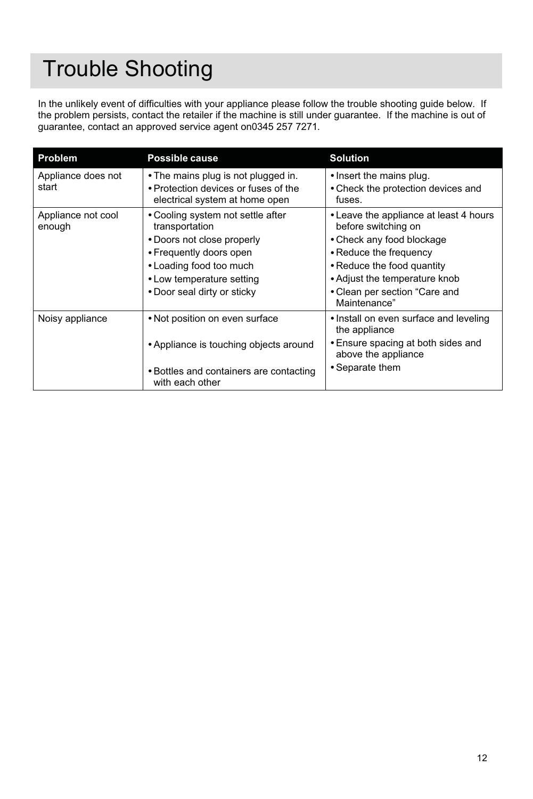### **Trouble Shooting**

In the unlikely event of difficulties with your appliance please follow the trouble shooting guide below. If the problem persists, contact the retailer if the machine is still under guarantee. If the machine is out of guarantee, contact an approved service agent on0345 257 7271.

| Problem                      | Possible cause                                                                                                                                                                                      | <b>Solution</b>                                                                                                                                                                                                      |
|------------------------------|-----------------------------------------------------------------------------------------------------------------------------------------------------------------------------------------------------|----------------------------------------------------------------------------------------------------------------------------------------------------------------------------------------------------------------------|
| Appliance does not<br>start  | • The mains plug is not plugged in.<br>• Protection devices or fuses of the<br>electrical system at home open                                                                                       | • Insert the mains plug.<br>• Check the protection devices and<br>fuses.                                                                                                                                             |
| Appliance not cool<br>enough | • Cooling system not settle after<br>transportation<br>• Doors not close properly<br>• Frequently doors open<br>• Loading food too much<br>• Low temperature setting<br>• Door seal dirty or sticky | • Leave the appliance at least 4 hours<br>before switching on<br>• Check any food blockage<br>• Reduce the frequency<br>• Reduce the food quantity<br>• Adjust the temperature knob<br>• Clean per section "Care and |
|                              |                                                                                                                                                                                                     | Maintenance"                                                                                                                                                                                                         |
| Noisy appliance              | • Not position on even surface                                                                                                                                                                      | • Install on even surface and leveling<br>the appliance                                                                                                                                                              |
|                              | • Appliance is touching objects around                                                                                                                                                              | • Ensure spacing at both sides and<br>above the appliance                                                                                                                                                            |
|                              | • Bottles and containers are contacting<br>with each other                                                                                                                                          | • Separate them                                                                                                                                                                                                      |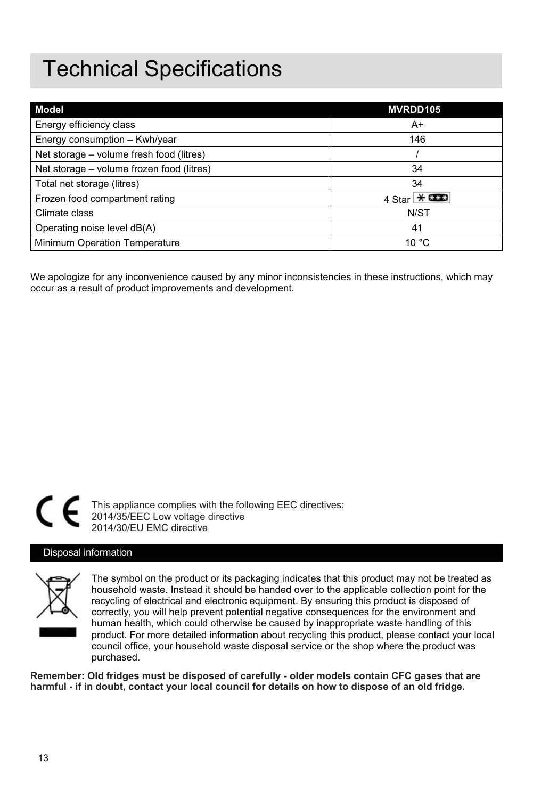### **Technical Specifications**

| Model                                     | MVRDD105   |
|-------------------------------------------|------------|
| Energy efficiency class                   | A+         |
| Energy consumption - Kwh/year             | 146        |
| Net storage – volume fresh food (litres)  |            |
| Net storage - volume frozen food (litres) | 34         |
| Total net storage (litres)                | 34         |
| Frozen food compartment rating            | 4 Star $*$ |
| Climate class                             | N/ST       |
| Operating noise level dB(A)               | 41         |
| Minimum Operation Temperature             | 10 °C      |

We apologize for any inconvenience caused by any minor inconsistencies in these instructions, which may occur as a result of product improvements and development.



This appliance complies with the following EEC directives: 2014/35/EEC Low voltage directive 2014/30/EU EMC directive

### Disposal information



The symbol on the product or its packaging indicates that this product may not be treated as household waste. Instead it should be handed over to the applicable collection point for the recycling of electrical and electronic equipment. By ensuring this product is disposed of correctly, you will help prevent potential negative consequences for the environment and human health, which could otherwise be caused by inappropriate waste handling of this product. For more detailed information about recycling this product, please contact your local .<br>council office, your household waste disposal service or the shop where the product was purchased.

**Remember: Old fridges must be disposed of carefully - older models contain CFC gases that are harmful - if in doubt, contact your local council for details on how to dispose of an old fridge.**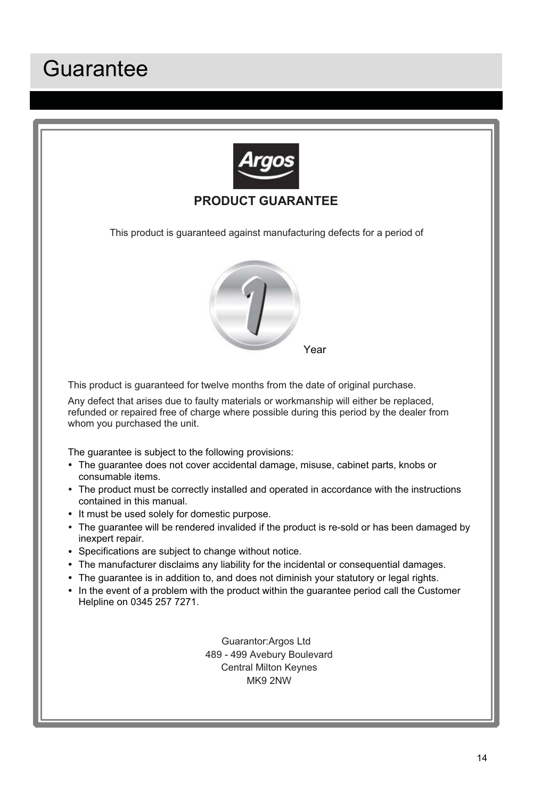### Guarantee